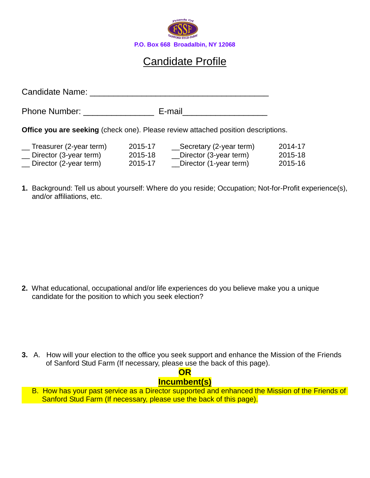

## Candidate Profile

Candidate Name: \_\_\_\_\_\_\_\_\_\_\_\_\_\_\_\_\_\_\_\_\_\_\_\_\_\_\_\_\_\_\_\_\_\_\_\_\_\_ Phone Number: \_\_\_\_\_\_\_\_\_\_\_\_\_\_\_\_\_\_\_\_\_\_\_\_\_\_ E-mail\_\_\_\_\_\_\_\_\_\_\_\_\_\_\_\_\_\_\_\_\_\_\_\_\_\_\_\_\_\_\_\_\_ **Office you are seeking** (check one). Please review attached position descriptions.

| Treasurer (2-year term)         | 2015-17 | _Secretary (2-year term) | 2014-17 |
|---------------------------------|---------|--------------------------|---------|
| Director (3-year term)          | 2015-18 | Director (3-year term)   | 2015-18 |
| $\equiv$ Director (2-year term) | 2015-17 | Director (1-year term)   | 2015-16 |

**1.** Background: Tell us about yourself: Where do you reside; Occupation; Not-for-Profit experience(s), and/or affiliations, etc.

**2.** What educational, occupational and/or life experiences do you believe make you a unique candidate for the position to which you seek election?

**3.** A. How will your election to the office you seek support and enhance the Mission of the Friends of Sanford Stud Farm (If necessary, please use the back of this page).

## **OR**

## **Incumbent(s)**

B. How has your past service as a Director supported and enhanced the Mission of the Friends of Sanford Stud Farm (If necessary, please use the back of this page).